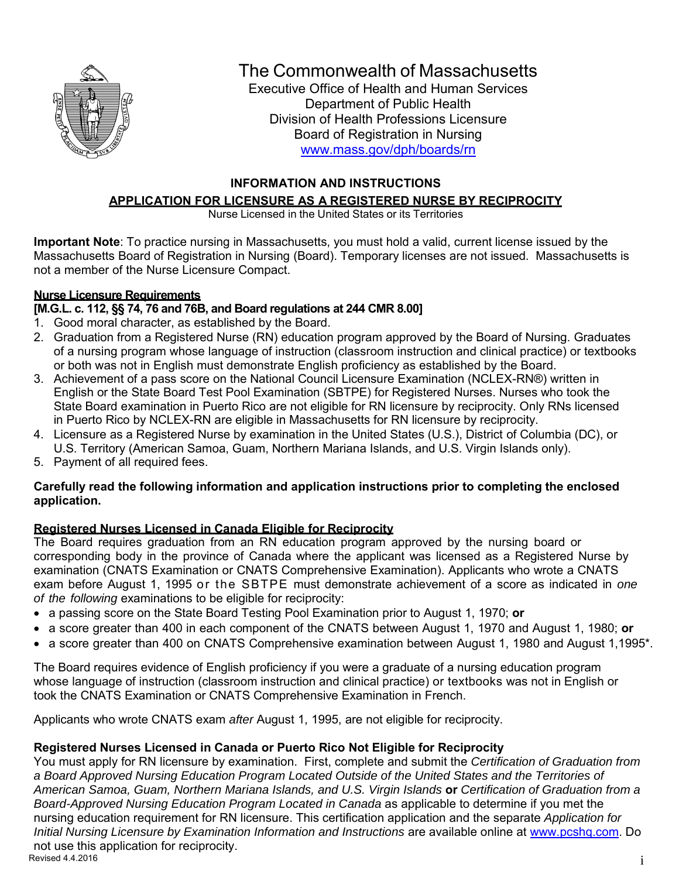

## The Commonwealth of Massachusetts

Executive Office of Health and Human Services Department of Public Health Division of Health Professions Licensure Board of Registration in Nursing www.mass.gov/dph/boards/rn

#### **INFORMATION AND INSTRUCTIONS**

## **APPLICATION FOR LICENSURE AS A REGISTERED NURSE BY RECIPROCITY**

Nurse Licensed in the United States or its Territories

**Important Note**: To practice nursing in Massachusetts, you must hold a valid, current license issued by the Massachusetts Board of Registration in Nursing (Board). Temporary licenses are not issued. Massachusetts is not a member of the Nurse Licensure Compact.

### **Nurse Licensure Requirements**

### **[M.G.L. c. 112, §§ 74, 76 and 76B, and Board regulations at 244 CMR 8.00]**

- 1. Good moral character, as established by the Board.
- 2. Graduation from a Registered Nurse (RN) education program approved by the Board of Nursing. Graduates of a nursing program whose language of instruction (classroom instruction and clinical practice) or textbooks or both was not in English must demonstrate English proficiency as established by the Board.
- 3. Achievement of a pass score on the National Council Licensure Examination (NCLEX-RN®) written in English or the State Board Test Pool Examination (SBTPE) for Registered Nurses. Nurses who took the State Board examination in Puerto Rico are not eligible for RN licensure by reciprocity. Only RNs licensed in Puerto Rico by NCLEX-RN are eligible in Massachusetts for RN licensure by reciprocity.
- 4. Licensure as a Registered Nurse by examination in the United States (U.S.), District of Columbia (DC), or U.S. Territory (American Samoa, Guam, Northern Mariana Islands, and U.S. Virgin Islands only).
- 5. Payment of all required fees.

#### **Carefully read the following information and application instructions prior to completing the enclosed application.**

### **Registered Nurses Licensed in Canada Eligible for Reciprocity**

The Board requires graduation from an RN education program approved by the nursing board or corresponding body in the province of Canada where the applicant was licensed as a Registered Nurse by examination (CNATS Examination or CNATS Comprehensive Examination). Applicants who wrote a CNATS exam before August 1, 1995 or the SBTPE must demonstrate achievement of a score as indicated in *one of the following* examinations to be eligible for reciprocity:

- a passing score on the State Board Testing Pool Examination prior to August 1, 1970; **or**
- a score greater than 400 in each component of the CNATS between August 1, 1970 and August 1, 1980; **or**
- a score greater than 400 on CNATS Comprehensive examination between August 1, 1980 and August 1,1995\*.

The Board requires evidence of English proficiency if you were a graduate of a nursing education program whose language of instruction (classroom instruction and clinical practice) or textbooks was not in English or took the CNATS Examination or CNATS Comprehensive Examination in French.

Applicants who wrote CNATS exam *after* August 1, 1995, are not eligible for reciprocity.

## **Registered Nurses Licensed in Canada or Puerto Rico Not Eligible for Reciprocity**

 $\frac{1}{1}$ You must apply for RN licensure by examination. First, complete and submit the *Certification of Graduation from a Board Approved Nursing Education Program Located Outside of the United States and the Territories of American Samoa, Guam, Northern Mariana Islands, and U.S. Virgin Islands* **or** *Certification of Graduation from a Board-Approved Nursing Education Program Located in Canada* as applicable to determine if you met the nursing education requirement for RN licensure. This certification application and the separate *Application for Initial Nursing Licensure by Examination Information and Instructions* are available online at www.pcshq.com. Do not use this application for reciprocity.<br>Revised 4.4.2016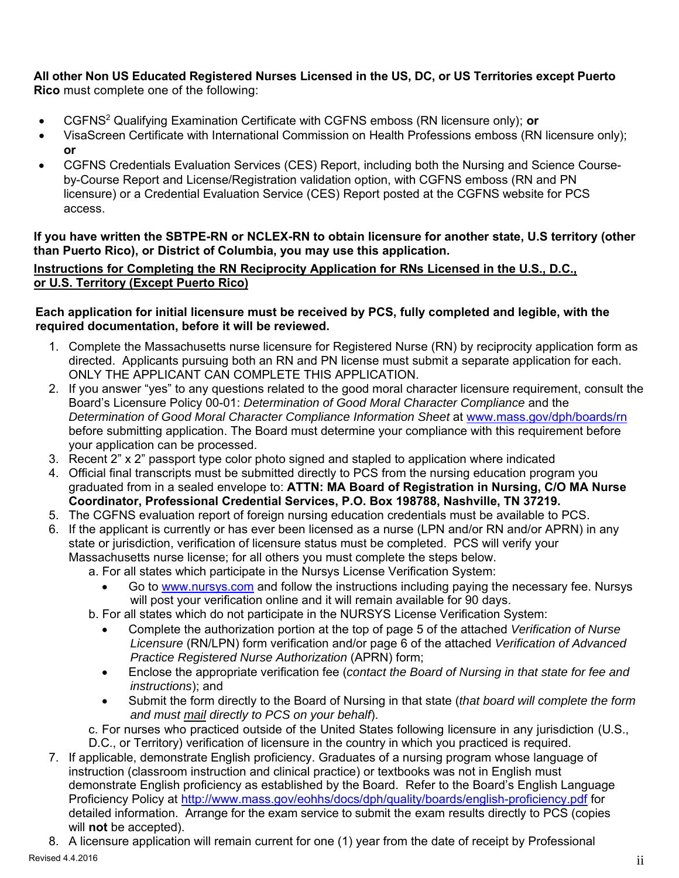# **All other Non US Educated Registered Nurses Licensed in the US, DC, or US Territories except Puerto**

**Rico** must complete one of the following:

- CGFNS2 Qualifying Examination Certificate with CGFNS emboss (RN licensure only); **or**
- VisaScreen Certificate with International Commission on Health Professions emboss (RN licensure only); **or**
- CGFNS Credentials Evaluation Services (CES) Report, including both the Nursing and Science Course by-Course Report and License/Registration validation option, with CGFNS emboss (RN and PN licensure) or a Credential Evaluation Service (CES) Report posted at the CGFNS website for PCS access.

#### **If you have written the SBTPE-RN or NCLEX-RN to obtain licensure for another state, U.S territory (other than Puerto Rico), or District of Columbia, you may use this application.**

**Instructions for Completing the RN Reciprocity Application for RNs Licensed in the U.S., D.C., or U.S. Territory (Except Puerto Rico)** 

#### **Each application for initial licensure must be received by PCS, fully completed and legible, with the required documentation, before it will be reviewed.**

- 1. Complete the Massachusetts nurse licensure for Registered Nurse (RN) by reciprocity application form as directed. Applicants pursuing both an RN and PN license must submit a separate application for each. ONLY THE APPLICANT CAN COMPLETE THIS APPLICATION.
- 2. If you answer "yes" to any questions related to the good moral character licensure requirement, consult the Board's Licensure Policy 00-01: *Determination of Good Moral Character Compliance* and the *Determination of Good Moral Character Compliance Information Sheet* at www.mass.gov/dph/boards/rn before submitting application. The Board must determine your compliance with this requirement before your application can be processed.
- 3. Recent 2" x 2" passport type color photo signed and stapled to application where indicated
- 4. Official final transcripts must be submitted directly to PCS from the nursing education program you graduated from in a sealed envelope to: **ATTN: MA Board of Registration in Nursing, C/O MA Nurse Coordinator, Professional Credential Services, P.O. Box 198788, Nashville, TN 37219.**
- 5. The CGFNS evaluation report of foreign nursing education credentials must be available to PCS.
- 6. If the applicant is currently or has ever been licensed as a nurse (LPN and/or RN and/or APRN) in any state or jurisdiction, verification of licensure status must be completed. PCS will verify your Massachusetts nurse license; for all others you must complete the steps below.

a. For all states which participate in the Nursys License Verification System:

- Go to www.nursys.com and follow the instructions including paying the necessary fee. Nursys will post your verification online and it will remain available for 90 days.
- b. For all states which do not participate in the NURSYS License Verification System:
	- Complete the authorization portion at the top of page 5 of the attached *Verification of Nurse Licensure* (RN/LPN) form verification and/or page 6 of the attached *Verification of Advanced Practice Registered Nurse Authorization* (APRN) form;
	- Enclose the appropriate verification fee (*contact the Board of Nursing in that state for fee and instructions*); and
	- Submit the form directly to the Board of Nursing in that state (*that board will complete the form and must mail directly to PCS on your behalf*).

c. For nurses who practiced outside of the United States following licensure in any jurisdiction (U.S., D.C., or Territory) verification of licensure in the country in which you practiced is required.

- 7. If applicable, demonstrate English proficiency. Graduates of a nursing program whose language of instruction (classroom instruction and clinical practice) or textbooks was not in English must demonstrate English proficiency as established by the Board. Refer to the Board's English Language Proficiency Policy at http://www.mass.gov/eohhs/docs/dph/quality/boards/english-proficiency.pdf for detailed information. Arrange for the exam service to submit the exam results directly to PCS (copies will **not** be accepted).
- 8. A licensure application will remain current for one (1) year from the date of receipt by Professional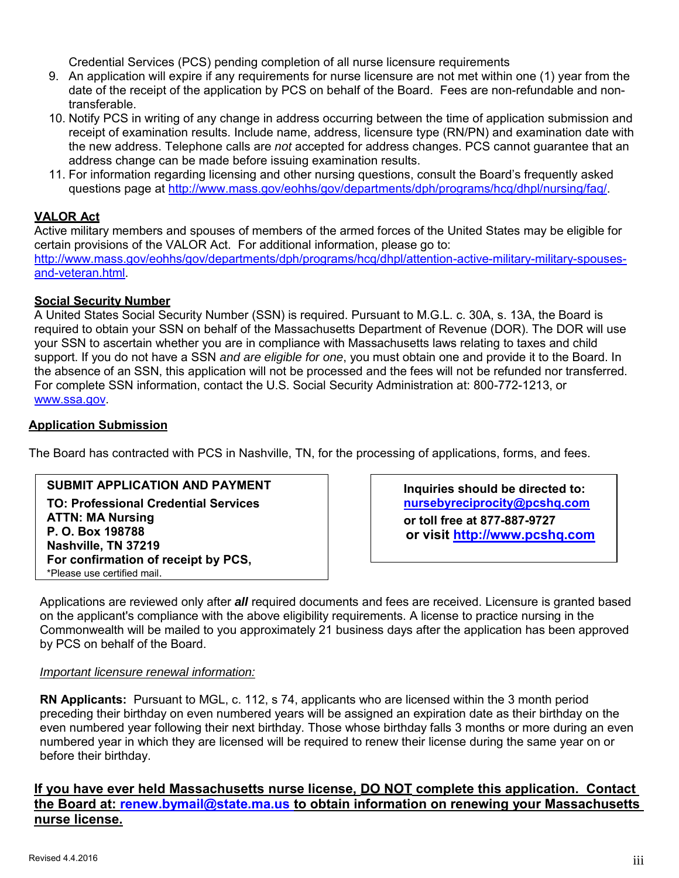Credential Services (PCS) pending completion of all nurse licensure requirements

- 9. An application will expire if any requirements for nurse licensure are not met within one (1) year from the date of the receipt of the application by PCS on behalf of the Board. Fees are non-refundable and nontransferable.
- 10. Notify PCS in writing of any change in address occurring between the time of application submission and receipt of examination results. Include name, address, licensure type (RN/PN) and examination date with the new address. Telephone calls are *not* accepted for address changes. PCS cannot guarantee that an address change can be made before issuing examination results.
- 11. For information regarding licensing and other nursing questions, consult the Board's frequently asked questions page at http://www.mass.gov/eohhs/gov/departments/dph/programs/hcq/dhpl/nursing/faq/.

#### **VALOR Act**

Active military members and spouses of members of the armed forces of the United States may be eligible for certain provisions of the VALOR Act. For additional information, please go to: http://www.mass.gov/eohhs/gov/departments/dph/programs/hcq/dhpl/attention-active-military-military-spousesand-veteran.html.

#### **Social Security Number**

A United States Social Security Number (SSN) is required. Pursuant to M.G.L. c. 30A, s. 13A, the Board is required to obtain your SSN on behalf of the Massachusetts Department of Revenue (DOR). The DOR will use your SSN to ascertain whether you are in compliance with Massachusetts laws relating to taxes and child support. If you do not have a SSN *and are eligible for one*, you must obtain one and provide it to the Board. In the absence of an SSN, this application will not be processed and the fees will not be refunded nor transferred. For complete SSN information, contact the U.S. Social Security Administration at: 800-772-1213, or www.ssa.gov.

#### **Application Submission**

The Board has contracted with PCS in Nashville, TN, for the processing of applications, forms, and fees.

#### **SUBMIT APPLICATION AND PAYMENT**

**TO: Professional Credential Services ATTN: MA Nursing P. O. Box 198788 Nashville, TN 37219 For confirmation of receipt by PCS,**  \*Please use certified mail.

**Inquiries should be directed to: nursebyreciprocity@pcshq.com or toll free at 877-887-9727 or visit http://www.pcshq.com** 

Applications are reviewed only after *all* required documents and fees are received. Licensure is granted based on the applicant's compliance with the above eligibility requirements. A license to practice nursing in the Commonwealth will be mailed to you approximately 21 business days after the application has been approved by PCS on behalf of the Board.

#### *Important licensure renewal information:*

**RN Applicants:** Pursuant to MGL, c. 112, s 74, applicants who are licensed within the 3 month period preceding their birthday on even numbered years will be assigned an expiration date as their birthday on the even numbered year following their next birthday. Those whose birthday falls 3 months or more during an even numbered year in which they are licensed will be required to renew their license during the same year on or before their birthday.

**If you have ever held Massachusetts nurse license, DO NOT complete this application. Contact the Board at: renew.bymail@state.ma.us to obtain information on renewing your Massachusetts nurse license.**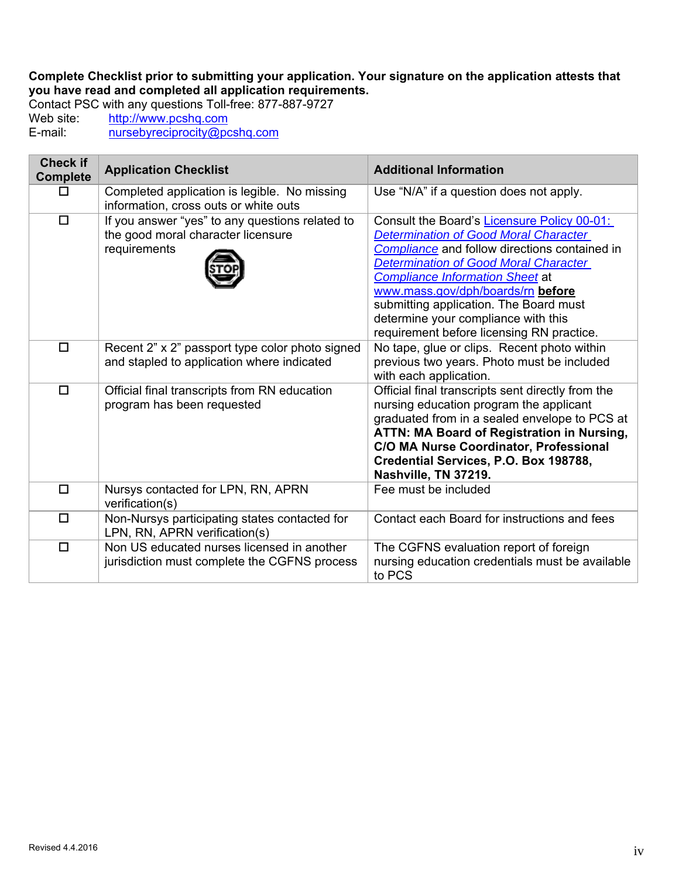**Complete Checklist prior to submitting your application. Your signature on the application attests that you have read and completed all application requirements.**

Contact PSC with any questions Toll-free: 877-887-9727<br>Web site: http://www.pcshq.com Web site: http://www.pcshq.com<br>E-mail: http://www.pcshq.com nursebyreciprocity@pcshq.com

| <b>Check if</b><br><b>Complete</b> | <b>Application Checklist</b>                                                                          | <b>Additional Information</b>                                                                                                                                                                                                                                                                                                                                                                             |
|------------------------------------|-------------------------------------------------------------------------------------------------------|-----------------------------------------------------------------------------------------------------------------------------------------------------------------------------------------------------------------------------------------------------------------------------------------------------------------------------------------------------------------------------------------------------------|
| □                                  | Completed application is legible. No missing<br>information, cross outs or white outs                 | Use "N/A" if a question does not apply.                                                                                                                                                                                                                                                                                                                                                                   |
| $\Box$                             | If you answer "yes" to any questions related to<br>the good moral character licensure<br>requirements | Consult the Board's Licensure Policy 00-01:<br><b>Determination of Good Moral Character</b><br>Compliance and follow directions contained in<br><b>Determination of Good Moral Character</b><br><b>Compliance Information Sheet at</b><br>www.mass.gov/dph/boards/rn before<br>submitting application. The Board must<br>determine your compliance with this<br>requirement before licensing RN practice. |
| $\Box$                             | Recent 2" x 2" passport type color photo signed<br>and stapled to application where indicated         | No tape, glue or clips. Recent photo within<br>previous two years. Photo must be included<br>with each application.                                                                                                                                                                                                                                                                                       |
| $\Box$                             | Official final transcripts from RN education<br>program has been requested                            | Official final transcripts sent directly from the<br>nursing education program the applicant<br>graduated from in a sealed envelope to PCS at<br>ATTN: MA Board of Registration in Nursing,<br>C/O MA Nurse Coordinator, Professional<br>Credential Services, P.O. Box 198788,<br>Nashville, TN 37219.                                                                                                    |
| $\Box$                             | Nursys contacted for LPN, RN, APRN<br>verification(s)                                                 | Fee must be included                                                                                                                                                                                                                                                                                                                                                                                      |
| $\Box$                             | Non-Nursys participating states contacted for<br>LPN, RN, APRN verification(s)                        | Contact each Board for instructions and fees                                                                                                                                                                                                                                                                                                                                                              |
| $\Box$                             | Non US educated nurses licensed in another<br>jurisdiction must complete the CGFNS process            | The CGFNS evaluation report of foreign<br>nursing education credentials must be available<br>to PCS                                                                                                                                                                                                                                                                                                       |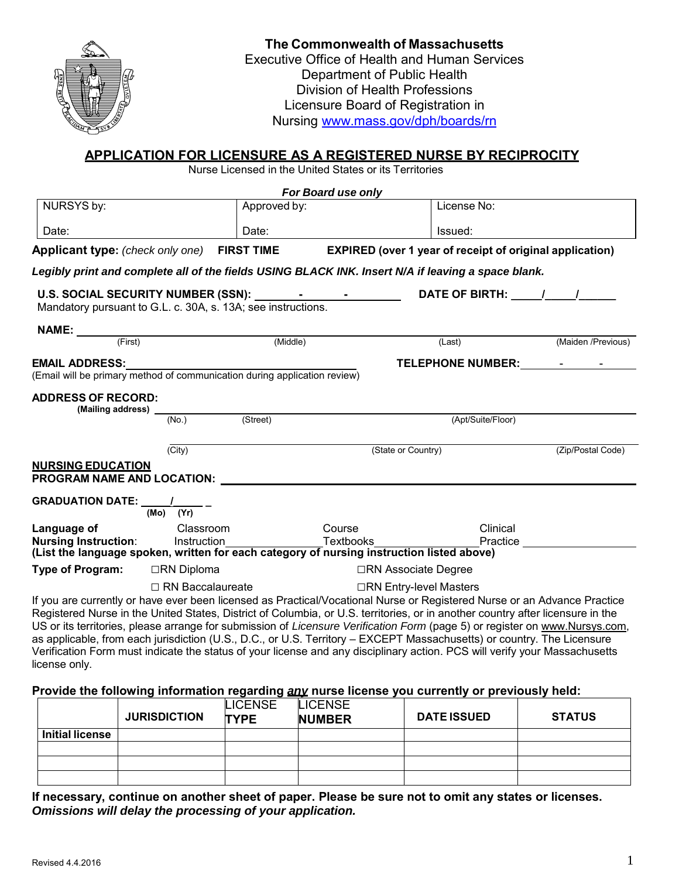

#### **The Commonwealth of Massachusetts** Executive Office of Health and Human Services Department of Public Health Division of Health Professions Licensure Board of Registration in Nursing www.mass.gov/dph/boards/rn

#### **APPLICATION FOR LICENSURE AS A REGISTERED NURSE BY RECIPROCITY**

Nurse Licensed in the United States or its Territories

|                                                              |                         | For Board use only                                                        |                                                                                                                                                                                                                                                                                                                                                                                                                                                                                                                                                                                                                                                   |                    |  |
|--------------------------------------------------------------|-------------------------|---------------------------------------------------------------------------|---------------------------------------------------------------------------------------------------------------------------------------------------------------------------------------------------------------------------------------------------------------------------------------------------------------------------------------------------------------------------------------------------------------------------------------------------------------------------------------------------------------------------------------------------------------------------------------------------------------------------------------------------|--------------------|--|
| NURSYS by:                                                   |                         | Approved by:                                                              | License No:                                                                                                                                                                                                                                                                                                                                                                                                                                                                                                                                                                                                                                       |                    |  |
| Date:                                                        |                         | Date:                                                                     | Issued:                                                                                                                                                                                                                                                                                                                                                                                                                                                                                                                                                                                                                                           |                    |  |
| <b>Applicant type:</b> (check only one)                      |                         | <b>FIRST TIME</b>                                                         | <b>EXPIRED</b> (over 1 year of receipt of original application)                                                                                                                                                                                                                                                                                                                                                                                                                                                                                                                                                                                   |                    |  |
|                                                              |                         |                                                                           | Legibly print and complete all of the fields USING BLACK INK. Insert N/A if leaving a space blank.                                                                                                                                                                                                                                                                                                                                                                                                                                                                                                                                                |                    |  |
| Mandatory pursuant to G.L. c. 30A, s. 13A; see instructions. |                         | U.S. SOCIAL SECURITY NUMBER (SSN): 1997-1998                              |                                                                                                                                                                                                                                                                                                                                                                                                                                                                                                                                                                                                                                                   |                    |  |
| NAME:                                                        |                         |                                                                           |                                                                                                                                                                                                                                                                                                                                                                                                                                                                                                                                                                                                                                                   |                    |  |
| (First)                                                      |                         | (Middle)                                                                  | (Last)                                                                                                                                                                                                                                                                                                                                                                                                                                                                                                                                                                                                                                            | (Maiden /Previous) |  |
| <b>EMAIL ADDRESS:</b>                                        |                         |                                                                           | <b>TELEPHONE NUMBER:</b>                                                                                                                                                                                                                                                                                                                                                                                                                                                                                                                                                                                                                          |                    |  |
|                                                              |                         | (Email will be primary method of communication during application review) |                                                                                                                                                                                                                                                                                                                                                                                                                                                                                                                                                                                                                                                   |                    |  |
| <b>ADDRESS OF RECORD:</b><br>(Mailing address) _             |                         |                                                                           |                                                                                                                                                                                                                                                                                                                                                                                                                                                                                                                                                                                                                                                   |                    |  |
|                                                              | (No.)                   | (Street)                                                                  | (Apt/Suite/Floor)                                                                                                                                                                                                                                                                                                                                                                                                                                                                                                                                                                                                                                 |                    |  |
|                                                              | $(\overline{City})$     |                                                                           | (State or Country)                                                                                                                                                                                                                                                                                                                                                                                                                                                                                                                                                                                                                                | (Zip/Postal Code)  |  |
| <u>NURSING EDUCATION</u>                                     |                         |                                                                           |                                                                                                                                                                                                                                                                                                                                                                                                                                                                                                                                                                                                                                                   |                    |  |
| PROGRAM NAME AND LOCATION:                                   |                         |                                                                           |                                                                                                                                                                                                                                                                                                                                                                                                                                                                                                                                                                                                                                                   |                    |  |
| GRADUATION DATE: ______/__                                   | $(Mo)$ $(Yr)$           |                                                                           |                                                                                                                                                                                                                                                                                                                                                                                                                                                                                                                                                                                                                                                   |                    |  |
| Language of                                                  | Classroom               | Course                                                                    |                                                                                                                                                                                                                                                                                                                                                                                                                                                                                                                                                                                                                                                   | Clinical           |  |
| Nursing Instruction:                                         | Instruction             |                                                                           | Textbooks                                                                                                                                                                                                                                                                                                                                                                                                                                                                                                                                                                                                                                         | Practice           |  |
|                                                              |                         |                                                                           | (List the language spoken, written for each category of nursing instruction listed above)                                                                                                                                                                                                                                                                                                                                                                                                                                                                                                                                                         |                    |  |
| Type of Program:                                             | □RN Diploma             |                                                                           | □RN Associate Degree                                                                                                                                                                                                                                                                                                                                                                                                                                                                                                                                                                                                                              |                    |  |
|                                                              | $\Box$ RN Baccalaureate |                                                                           | □RN Entry-level Masters                                                                                                                                                                                                                                                                                                                                                                                                                                                                                                                                                                                                                           |                    |  |
|                                                              |                         |                                                                           | If you are currently or have ever been licensed as Practical/Vocational Nurse or Registered Nurse or an Advance Practice<br>Registered Nurse in the United States, District of Columbia, or U.S. territories, or in another country after licensure in the<br>US or its territories, please arrange for submission of Licensure Verification Form (page 5) or register on www.Nursys.com,<br>as applicable, from each jurisdiction (U.S., D.C., or U.S. Territory – EXCEPT Massachusetts) or country. The Licensure<br>Verification Form must indicate the status of your license and any disciplinary action. PCS will verify your Massachusetts |                    |  |
| license only.                                                |                         |                                                                           |                                                                                                                                                                                                                                                                                                                                                                                                                                                                                                                                                                                                                                                   |                    |  |

#### **Provide the following information regarding** *any* **nurse license you currently or previously held:**

|                        | <b>JURISDICTION</b> | <b>LICENSE</b><br><b>TYPE</b> | <b>LICENSE</b><br><b>NUMBER</b> | <b>DATE ISSUED</b> | <b>STATUS</b> |
|------------------------|---------------------|-------------------------------|---------------------------------|--------------------|---------------|
| <b>Initial license</b> |                     |                               |                                 |                    |               |
|                        |                     |                               |                                 |                    |               |
|                        |                     |                               |                                 |                    |               |
|                        |                     |                               |                                 |                    |               |

**If necessary, continue on another sheet of paper. Please be sure not to omit any states or licenses.** *Omissions will delay the processing of your application.*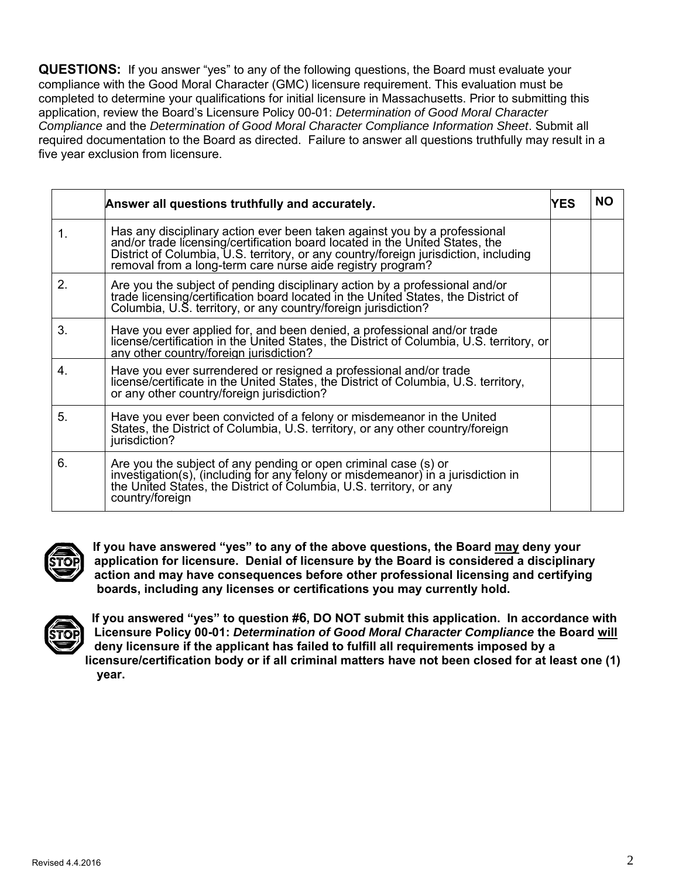**QUESTIONS:** If you answer "yes" to any of the following questions, the Board must evaluate your compliance with the Good Moral Character (GMC) licensure requirement. This evaluation must be completed to determine your qualifications for initial licensure in Massachusetts. Prior to submitting this application, review the Board's Licensure Policy 00-01: *Determination of Good Moral Character Compliance* and the *Determination of Good Moral Character Compliance Information Sheet*. Submit all required documentation to the Board as directed. Failure to answer all questions truthfully may result in a five year exclusion from licensure.

|             | Answer all questions truthfully and accurately.                                                                                                                                                                                                                                                                 | YES. | ΝO |
|-------------|-----------------------------------------------------------------------------------------------------------------------------------------------------------------------------------------------------------------------------------------------------------------------------------------------------------------|------|----|
| $\mathbf 1$ | Has any disciplinary action ever been taken against you by a professional<br>and/or trade licensing/certification board located in the United States, the<br>District of Columbia, U.S. territory, or any country/foreign jurisdiction, including<br>removal from a long-term care nurse aide registry program? |      |    |
| 2.          | Are you the subject of pending disciplinary action by a professional and/or trade licensing/certification board located in the United States, the District of<br>Columbia, U.S. territory, or any country/foreign jurisdiction?                                                                                 |      |    |
| 3.          | Have you ever applied for, and been denied, a professional and/or trade<br>license/certification in the United States, the District of Columbia, U.S. territory, or<br>any other country/foreign jurisdiction?                                                                                                  |      |    |
| 4.          | Have you ever surrendered or resigned a professional and/or trade<br>license/certificate in the United States, the District of Columbia, U.S. territory,<br>or any other country/foreign jurisdiction?                                                                                                          |      |    |
| 5.          | Have you ever been convicted of a felony or misdemeanor in the United<br>States, the District of Columbia, U.S. territory, or any other country/foreign<br>jurisdiction?                                                                                                                                        |      |    |
| 6.          | Are you the subject of any pending or open criminal case (s) or<br>investigation(s), (including for any felony or misdemeanor) in a jurisdiction in<br>the United States, the District of Columbia, U.S. territory, or any<br>country/foreign                                                                   |      |    |



**If you have answered "yes" to any of the above questions, the Board may deny your application for licensure. Denial of licensure by the Board is considered a disciplinary action and may have consequences before other professional licensing and certifying boards, including any licenses or certifications you may currently hold.** 



**If you answered "yes" to question #6, DO NOT submit this application. In accordance with Licensure Policy 00-01:** *Determination of Good Moral Character Compliance* **the Board will deny licensure if the applicant has failed to fulfill all requirements imposed by a licensure/certification body or if all criminal matters have not been closed for at least one (1) year.**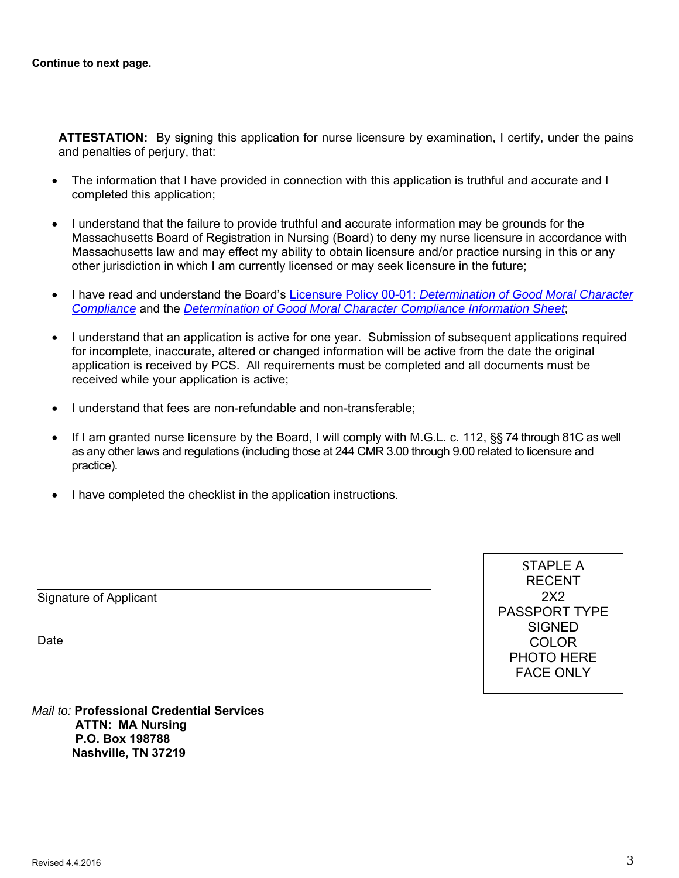**ATTESTATION:** By signing this application for nurse licensure by examination, I certify, under the pains and penalties of perjury, that:

- The information that I have provided in connection with this application is truthful and accurate and I completed this application;
- I understand that the failure to provide truthful and accurate information may be grounds for the Massachusetts Board of Registration in Nursing (Board) to deny my nurse licensure in accordance with Massachusetts law and may effect my ability to obtain licensure and/or practice nursing in this or any other jurisdiction in which I am currently licensed or may seek licensure in the future;
- I have read and understand the Board's Licensure Policy 00-01: *Determination of Good Moral Character Compliance* and the *Determination of Good Moral Character Compliance Information Sheet*;
- I understand that an application is active for one year. Submission of subsequent applications required for incomplete, inaccurate, altered or changed information will be active from the date the original application is received by PCS. All requirements must be completed and all documents must be received while your application is active;
- I understand that fees are non-refundable and non-transferable;
- If I am granted nurse licensure by the Board, I will comply with M.G.L. c. 112,  $\S$ § 74 through 81C as well as any other laws and regulations (including those at 244 CMR 3.00 through 9.00 related to licensure and practice).
- I have completed the checklist in the application instructions.

Signature of Applicant

Date

 $\overline{a}$ 

 $\overline{a}$ 

STAPLE A RECENT 2X2 PASSPORT TYPE **SIGNED** COLOR PHOTO HERE FACE ONLY

*Mail to:* **Professional Credential Services ATTN: MA Nursing P.O. Box 198788 Nashville, TN 37219**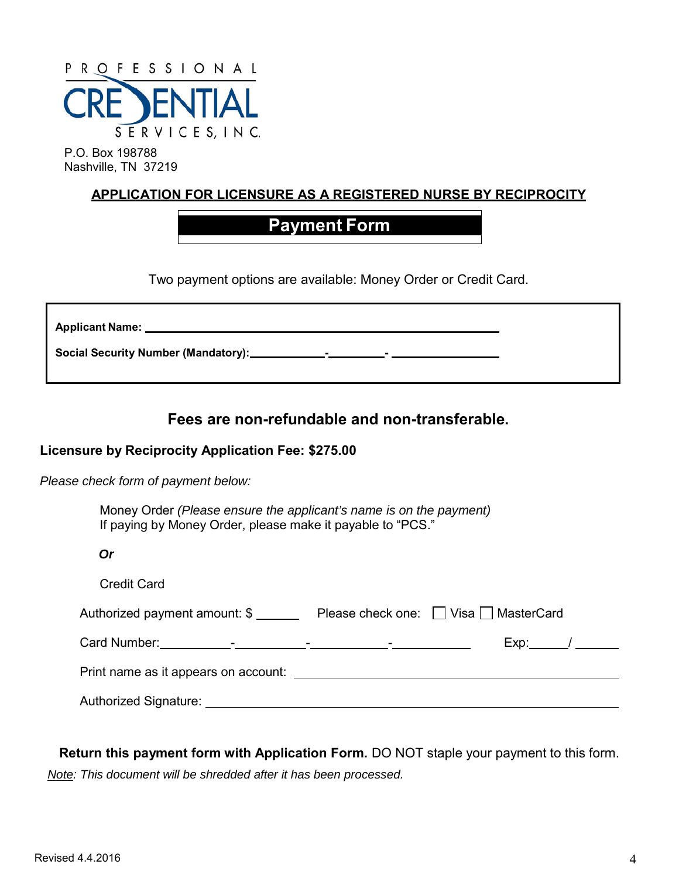

P.O. Box 198788 Nashville, TN 37219

## **APPLICATION FOR LICENSURE AS A REGISTERED NURSE BY RECIPROCITY**

## **Payment Form**

Two payment options are available: Money Order or Credit Card.

| <b>Applicant Name:</b>                                                                                                                                                                                                                                                                            |  |
|---------------------------------------------------------------------------------------------------------------------------------------------------------------------------------------------------------------------------------------------------------------------------------------------------|--|
| Social Security Number (Mandatory): ___________<br><u> 1999 - Albert Stormer and Stormer and Stormer and Stormer and Stormer and Stormer and Stormer and Stormer and Stormer and Stormer and Stormer and Stormer and Stormer and Stormer and Stormer and Stormer and Stormer and St</u><br>$\sim$ |  |

## **Fees are non-refundable and non-transferable.**

### **Licensure by Reciprocity Application Fee: \$275.00**

*Please check form of payment below:*

 Money Order *(Please ensure the applicant's name is on the payment)* If paying by Money Order, please make it payable to "PCS."

*Or*

| <b>Credit Card</b>            |                                                 |
|-------------------------------|-------------------------------------------------|
| Authorized payment amount: \$ | Please check one: $\Box$ Visa $\Box$ MasterCard |
|                               |                                                 |
|                               |                                                 |
| Authorized Signature:         |                                                 |

**Return this payment form with Application Form.** DO NOT staple your payment to this form. *Note: This document will be shredded after it has been processed.*